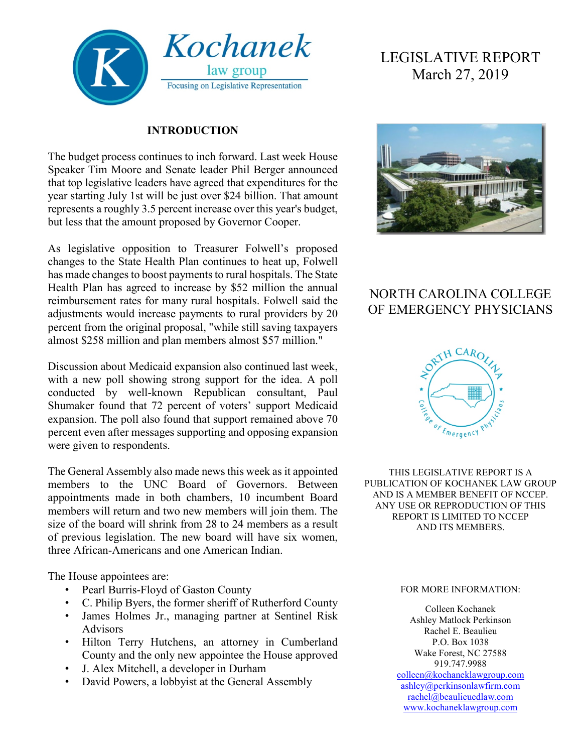

### **INTRODUCTION**

The budget process continues to inch forward. Last week House Speaker Tim Moore and Senate leader Phil Berger announced that top legislative leaders have agreed that expenditures for the year starting July 1st will be just over \$24 billion. That amount represents a roughly 3.5 percent increase over this year's budget, but less that the amount proposed by Governor Cooper.

As legislative opposition to Treasurer Folwell's proposed changes to the State Health Plan continues to heat up, Folwell has made changes to boost payments to rural hospitals. The State Health Plan has agreed to increase by \$52 million the annual reimbursement rates for many rural hospitals. Folwell said the adjustments would increase payments to rural providers by 20 percent from the original proposal, "while still saving taxpayers almost \$258 million and plan members almost \$57 million."

Discussion about Medicaid expansion also continued last week, with a new poll showing strong support for the idea. A poll conducted by well-known Republican consultant, Paul Shumaker found that 72 percent of voters' support Medicaid expansion. The poll also found that support remained above 70 percent even after messages supporting and opposing expansion were given to respondents.

The General Assembly also made news this week as it appointed members to the UNC Board of Governors. Between appointments made in both chambers, 10 incumbent Board members will return and two new members will join them. The size of the board will shrink from 28 to 24 members as a result of previous legislation. The new board will have six women, three African-Americans and one American Indian.

The House appointees are:

- Pearl Burris-Floyd of Gaston County
- C. Philip Byers, the former sheriff of Rutherford County
- James Holmes Jr., managing partner at Sentinel Risk Advisors
- Hilton Terry Hutchens, an attorney in Cumberland County and the only new appointee the House approved
- J. Alex Mitchell, a developer in Durham
- David Powers, a lobbyist at the General Assembly

# LEGISLATIVE REPORT March 27, 2019



## NORTH CAROLINA COLLEGE OF EMERGENCY PHYSICIANS



THIS LEGISLATIVE REPORT IS A PUBLICATION OF KOCHANEK LAW GROUP AND IS A MEMBER BENEFIT OF NCCEP. ANY USE OR REPRODUCTION OF THIS REPORT IS LIMITED TO NCCEP AND ITS MEMBERS.

#### FOR MORE INFORMATION:

Colleen Kochanek Ashley Matlock Perkinson Rachel E. Beaulieu P.O. Box 1038 Wake Forest, NC 27588 919.747.9988 [colleen@kochaneklawgroup.com](mailto:colleen@kochaneklawgroup.com)

[ashley@perkinsonlawfirm.com](mailto:ashley@perkinsonlawfirm.com) [rachel@beaulieuedlaw.com](mailto:rachel@beaulieuedlaw.com) [www.kochaneklawgroup.com](http://www.kochaneklawgroup.com/)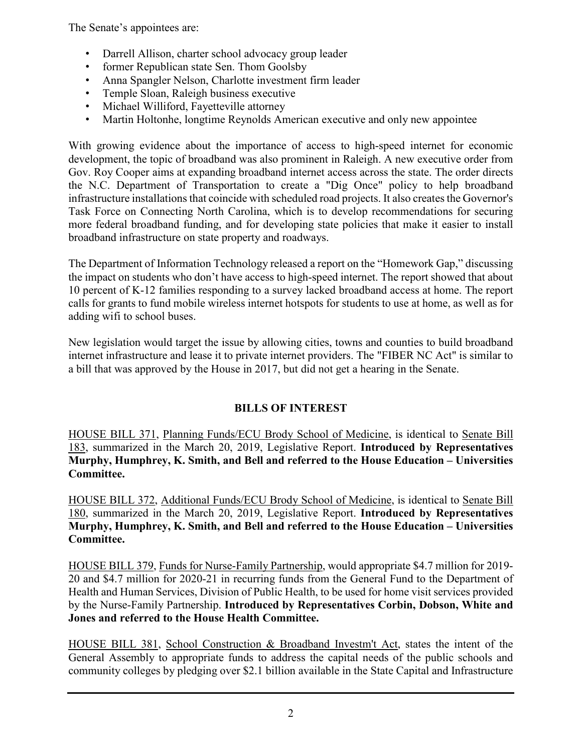The Senate's appointees are:

- Darrell Allison, charter school advocacy group leader
- former Republican state Sen. Thom Goolsby
- Anna Spangler Nelson, Charlotte investment firm leader
- Temple Sloan, Raleigh business executive
- Michael Williford, Fayetteville attorney
- Martin Holtonhe, longtime Reynolds American executive and only new appointee

With growing evidence about the importance of access to high-speed internet for economic development, the topic of broadband was also prominent in Raleigh. A new executive order from Gov. Roy Cooper aims at expanding broadband internet access across the state. The order directs the N.C. Department of Transportation to create a "Dig Once" policy to help broadband infrastructure installations that coincide with scheduled road projects. It also creates the Governor's Task Force on Connecting North Carolina, which is to develop recommendations for securing more federal broadband funding, and for developing state policies that make it easier to install broadband infrastructure on state property and roadways.

The Department of Information Technology released a report on the "Homework Gap," discussing the impact on students who don't have access to high-speed internet. The report showed that about 10 percent of K-12 families responding to a survey lacked broadband access at home. The report calls for grants to fund mobile wireless internet hotspots for students to use at home, as well as for adding wifi to school buses.

New legislation would target the issue by allowing cities, towns and counties to build broadband internet infrastructure and lease it to private internet providers. The "FIBER NC Act" is similar to a bill that was approved by the House in 2017, but did not get a hearing in the Senate.

### **BILLS OF INTEREST**

HOUSE BILL 371, Planning Funds/ECU Brody School of Medicine, is identical to Senate Bill 183, summarized in the March 20, 2019, Legislative Report. **Introduced by Representatives Murphy, Humphrey, K. Smith, and Bell and referred to the House Education – Universities Committee.**

HOUSE BILL 372, Additional Funds/ECU Brody School of Medicine, is identical to Senate Bill 180, summarized in the March 20, 2019, Legislative Report. **Introduced by Representatives Murphy, Humphrey, K. Smith, and Bell and referred to the House Education – Universities Committee.**

HOUSE BILL 379, Funds for Nurse-Family Partnership, would appropriate \$4.7 million for 2019- 20 and \$4.7 million for 2020-21 in recurring funds from the General Fund to the Department of Health and Human Services, Division of Public Health, to be used for home visit services provided by the Nurse-Family Partnership. **Introduced by Representatives Corbin, Dobson, White and Jones and referred to the House Health Committee.**

HOUSE BILL 381, School Construction & Broadband Investm't Act, states the intent of the General Assembly to appropriate funds to address the capital needs of the public schools and community colleges by pledging over \$2.1 billion available in the State Capital and Infrastructure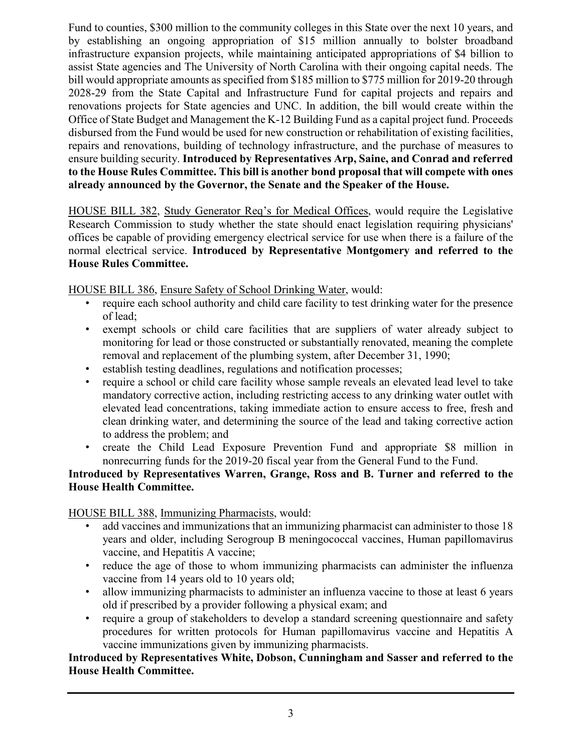Fund to counties, \$300 million to the community colleges in this State over the next 10 years, and by establishing an ongoing appropriation of \$15 million annually to bolster broadband infrastructure expansion projects, while maintaining anticipated appropriations of \$4 billion to assist State agencies and The University of North Carolina with their ongoing capital needs. The bill would appropriate amounts as specified from \$185 million to \$775 million for 2019-20 through 2028-29 from the State Capital and Infrastructure Fund for capital projects and repairs and renovations projects for State agencies and UNC. In addition, the bill would create within the Office of State Budget and Management the K-12 Building Fund as a capital project fund. Proceeds disbursed from the Fund would be used for new construction or rehabilitation of existing facilities, repairs and renovations, building of technology infrastructure, and the purchase of measures to ensure building security. **Introduced by Representatives Arp, Saine, and Conrad and referred to the House Rules Committee. This bill is another bond proposal that will compete with ones already announced by the Governor, the Senate and the Speaker of the House.**

HOUSE BILL 382, Study Generator Req's for Medical Offices, would require the Legislative Research Commission to study whether the state should enact legislation requiring physicians' offices be capable of providing emergency electrical service for use when there is a failure of the normal electrical service. **Introduced by Representative Montgomery and referred to the House Rules Committee.**

HOUSE BILL 386, Ensure Safety of School Drinking Water, would:

- require each school authority and child care facility to test drinking water for the presence of lead;
- exempt schools or child care facilities that are suppliers of water already subject to monitoring for lead or those constructed or substantially renovated, meaning the complete removal and replacement of the plumbing system, after December 31, 1990;
- establish testing deadlines, regulations and notification processes;
- require a school or child care facility whose sample reveals an elevated lead level to take mandatory corrective action, including restricting access to any drinking water outlet with elevated lead concentrations, taking immediate action to ensure access to free, fresh and clean drinking water, and determining the source of the lead and taking corrective action to address the problem; and
- create the Child Lead Exposure Prevention Fund and appropriate \$8 million in nonrecurring funds for the 2019-20 fiscal year from the General Fund to the Fund.

### **Introduced by Representatives Warren, Grange, Ross and B. Turner and referred to the House Health Committee.**

HOUSE BILL 388, Immunizing Pharmacists, would:

- add vaccines and immunizations that an immunizing pharmacist can administer to those 18 years and older, including Serogroup B meningococcal vaccines, Human papillomavirus vaccine, and Hepatitis A vaccine;
- reduce the age of those to whom immunizing pharmacists can administer the influenza vaccine from 14 years old to 10 years old;
- allow immunizing pharmacists to administer an influenza vaccine to those at least 6 years old if prescribed by a provider following a physical exam; and
- require a group of stakeholders to develop a standard screening questionnaire and safety procedures for written protocols for Human papillomavirus vaccine and Hepatitis A vaccine immunizations given by immunizing pharmacists.

### **Introduced by Representatives White, Dobson, Cunningham and Sasser and referred to the House Health Committee.**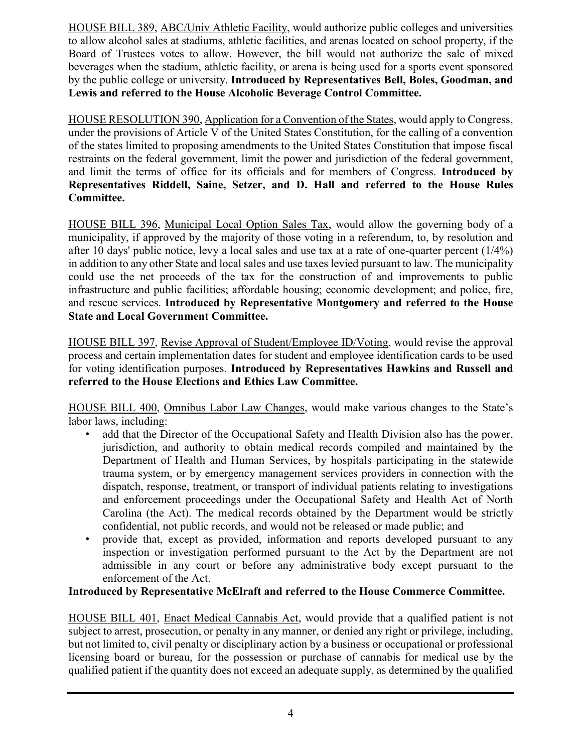HOUSE BILL 389, ABC/Univ Athletic Facility, would authorize public colleges and universities to allow alcohol sales at stadiums, athletic facilities, and arenas located on school property, if the Board of Trustees votes to allow. However, the bill would not authorize the sale of mixed beverages when the stadium, athletic facility, or arena is being used for a sports event sponsored by the public college or university. **Introduced by Representatives Bell, Boles, Goodman, and Lewis and referred to the House Alcoholic Beverage Control Committee.**

HOUSE RESOLUTION 390, Application for a Convention of the States, would apply to Congress, under the provisions of Article V of the United States Constitution, for the calling of a convention of the states limited to proposing amendments to the United States Constitution that impose fiscal restraints on the federal government, limit the power and jurisdiction of the federal government, and limit the terms of office for its officials and for members of Congress. **Introduced by Representatives Riddell, Saine, Setzer, and D. Hall and referred to the House Rules Committee.**

HOUSE BILL 396, Municipal Local Option Sales Tax, would allow the governing body of a municipality, if approved by the majority of those voting in a referendum, to, by resolution and after 10 days' public notice, levy a local sales and use tax at a rate of one-quarter percent (1/4%) in addition to any other State and local sales and use taxes levied pursuant to law. The municipality could use the net proceeds of the tax for the construction of and improvements to public infrastructure and public facilities; affordable housing; economic development; and police, fire, and rescue services. **Introduced by Representative Montgomery and referred to the House State and Local Government Committee.**

HOUSE BILL 397, Revise Approval of Student/Employee ID/Voting, would revise the approval process and certain implementation dates for student and employee identification cards to be used for voting identification purposes. **Introduced by Representatives Hawkins and Russell and referred to the House Elections and Ethics Law Committee.**

HOUSE BILL 400, Omnibus Labor Law Changes, would make various changes to the State's labor laws, including:

- add that the Director of the Occupational Safety and Health Division also has the power, jurisdiction, and authority to obtain medical records compiled and maintained by the Department of Health and Human Services, by hospitals participating in the statewide trauma system, or by emergency management services providers in connection with the dispatch, response, treatment, or transport of individual patients relating to investigations and enforcement proceedings under the Occupational Safety and Health Act of North Carolina (the Act). The medical records obtained by the Department would be strictly confidential, not public records, and would not be released or made public; and
- provide that, except as provided, information and reports developed pursuant to any inspection or investigation performed pursuant to the Act by the Department are not admissible in any court or before any administrative body except pursuant to the enforcement of the Act.

### **Introduced by Representative McElraft and referred to the House Commerce Committee.**

HOUSE BILL 401, Enact Medical Cannabis Act, would provide that a qualified patient is not subject to arrest, prosecution, or penalty in any manner, or denied any right or privilege, including, but not limited to, civil penalty or disciplinary action by a business or occupational or professional licensing board or bureau, for the possession or purchase of cannabis for medical use by the qualified patient if the quantity does not exceed an adequate supply, as determined by the qualified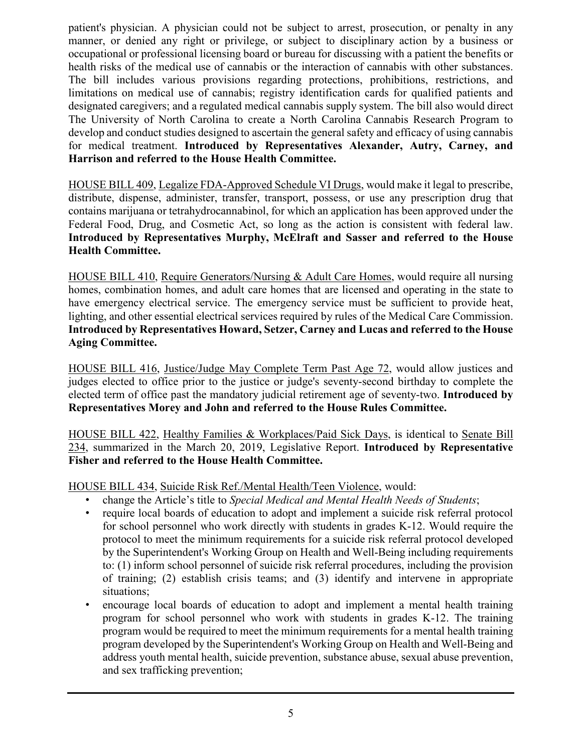patient's physician. A physician could not be subject to arrest, prosecution, or penalty in any manner, or denied any right or privilege, or subject to disciplinary action by a business or occupational or professional licensing board or bureau for discussing with a patient the benefits or health risks of the medical use of cannabis or the interaction of cannabis with other substances. The bill includes various provisions regarding protections, prohibitions, restrictions, and limitations on medical use of cannabis; registry identification cards for qualified patients and designated caregivers; and a regulated medical cannabis supply system. The bill also would direct The University of North Carolina to create a North Carolina Cannabis Research Program to develop and conduct studies designed to ascertain the general safety and efficacy of using cannabis for medical treatment. **Introduced by Representatives Alexander, Autry, Carney, and Harrison and referred to the House Health Committee.**

HOUSE BILL 409, Legalize FDA-Approved Schedule VI Drugs, would make it legal to prescribe, distribute, dispense, administer, transfer, transport, possess, or use any prescription drug that contains marijuana or tetrahydrocannabinol, for which an application has been approved under the Federal Food, Drug, and Cosmetic Act, so long as the action is consistent with federal law. **Introduced by Representatives Murphy, McElraft and Sasser and referred to the House Health Committee.**

HOUSE BILL 410, Require Generators/Nursing & Adult Care Homes, would require all nursing homes, combination homes, and adult care homes that are licensed and operating in the state to have emergency electrical service. The emergency service must be sufficient to provide heat, lighting, and other essential electrical services required by rules of the Medical Care Commission. **Introduced by Representatives Howard, Setzer, Carney and Lucas and referred to the House Aging Committee.**

HOUSE BILL 416, Justice/Judge May Complete Term Past Age 72, would allow justices and judges elected to office prior to the justice or judge's seventy-second birthday to complete the elected term of office past the mandatory judicial retirement age of seventy-two. **Introduced by Representatives Morey and John and referred to the House Rules Committee.**

HOUSE BILL 422, Healthy Families & Workplaces/Paid Sick Days, is identical to Senate Bill 234, summarized in the March 20, 2019, Legislative Report. **Introduced by Representative Fisher and referred to the House Health Committee.**

### HOUSE BILL 434, Suicide Risk Ref./Mental Health/Teen Violence, would:

- change the Article's title to *Special Medical and Mental Health Needs of Students*;
- require local boards of education to adopt and implement a suicide risk referral protocol for school personnel who work directly with students in grades K-12. Would require the protocol to meet the minimum requirements for a suicide risk referral protocol developed by the Superintendent's Working Group on Health and Well-Being including requirements to: (1) inform school personnel of suicide risk referral procedures, including the provision of training; (2) establish crisis teams; and (3) identify and intervene in appropriate situations;
- encourage local boards of education to adopt and implement a mental health training program for school personnel who work with students in grades K-12. The training program would be required to meet the minimum requirements for a mental health training program developed by the Superintendent's Working Group on Health and Well-Being and address youth mental health, suicide prevention, substance abuse, sexual abuse prevention, and sex trafficking prevention;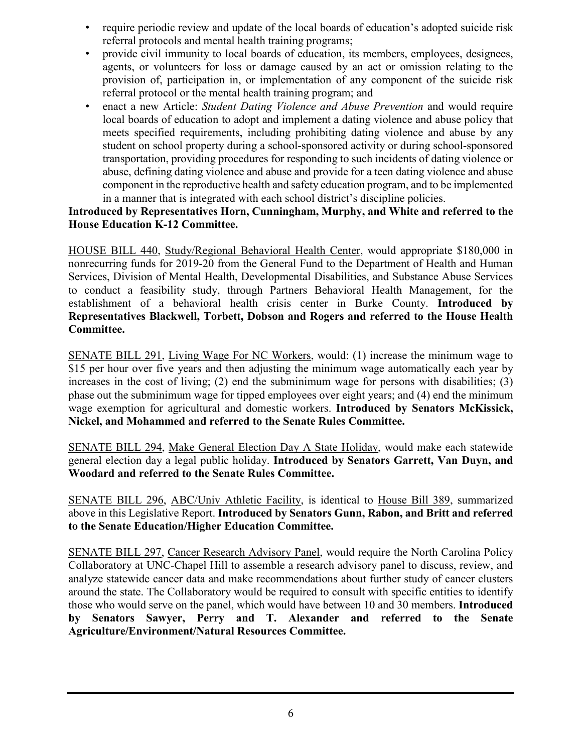- require periodic review and update of the local boards of education's adopted suicide risk referral protocols and mental health training programs;
- provide civil immunity to local boards of education, its members, employees, designees, agents, or volunteers for loss or damage caused by an act or omission relating to the provision of, participation in, or implementation of any component of the suicide risk referral protocol or the mental health training program; and
- enact a new Article: *Student Dating Violence and Abuse Prevention* and would require local boards of education to adopt and implement a dating violence and abuse policy that meets specified requirements, including prohibiting dating violence and abuse by any student on school property during a school-sponsored activity or during school-sponsored transportation, providing procedures for responding to such incidents of dating violence or abuse, defining dating violence and abuse and provide for a teen dating violence and abuse component in the reproductive health and safety education program, and to be implemented in a manner that is integrated with each school district's discipline policies.

### **Introduced by Representatives Horn, Cunningham, Murphy, and White and referred to the House Education K-12 Committee.**

HOUSE BILL 440, Study/Regional Behavioral Health Center, would appropriate \$180,000 in nonrecurring funds for 2019-20 from the General Fund to the Department of Health and Human Services, Division of Mental Health, Developmental Disabilities, and Substance Abuse Services to conduct a feasibility study, through Partners Behavioral Health Management, for the establishment of a behavioral health crisis center in Burke County. **Introduced by Representatives Blackwell, Torbett, Dobson and Rogers and referred to the House Health Committee.**

SENATE BILL 291, Living Wage For NC Workers, would: (1) increase the minimum wage to \$15 per hour over five years and then adjusting the minimum wage automatically each year by increases in the cost of living; (2) end the subminimum wage for persons with disabilities; (3) phase out the subminimum wage for tipped employees over eight years; and (4) end the minimum wage exemption for agricultural and domestic workers. **Introduced by Senators McKissick, Nickel, and Mohammed and referred to the Senate Rules Committee.**

SENATE BILL 294, Make General Election Day A State Holiday, would make each statewide general election day a legal public holiday. **Introduced by Senators Garrett, Van Duyn, and Woodard and referred to the Senate Rules Committee.**

SENATE BILL 296, ABC/Univ Athletic Facility, is identical to House Bill 389, summarized above in this Legislative Report. **Introduced by Senators Gunn, Rabon, and Britt and referred to the Senate Education/Higher Education Committee.**

SENATE BILL 297, Cancer Research Advisory Panel, would require the North Carolina Policy Collaboratory at UNC-Chapel Hill to assemble a research advisory panel to discuss, review, and analyze statewide cancer data and make recommendations about further study of cancer clusters around the state. The Collaboratory would be required to consult with specific entities to identify those who would serve on the panel, which would have between 10 and 30 members. **Introduced by Senators Sawyer, Perry and T. Alexander and referred to the Senate Agriculture/Environment/Natural Resources Committee.**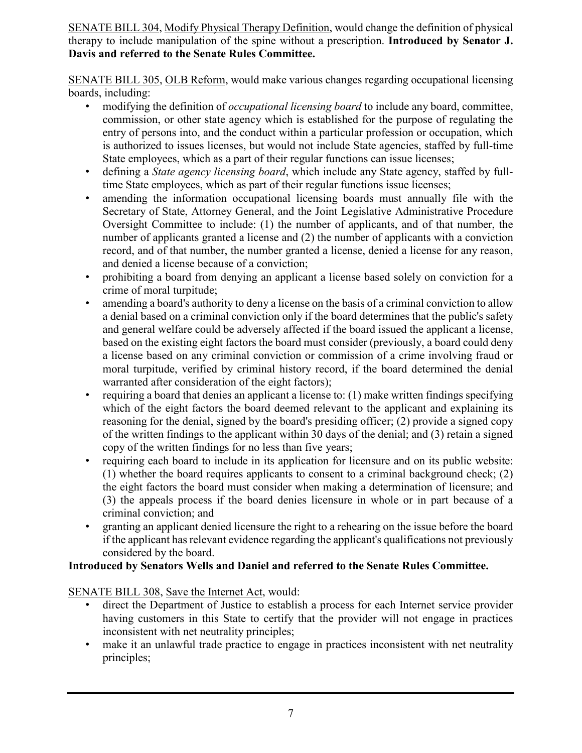SENATE BILL 304, Modify Physical Therapy Definition, would change the definition of physical therapy to include manipulation of the spine without a prescription. **Introduced by Senator J. Davis and referred to the Senate Rules Committee.**

SENATE BILL 305, OLB Reform, would make various changes regarding occupational licensing boards, including:

- modifying the definition of *occupational licensing board* to include any board, committee, commission, or other state agency which is established for the purpose of regulating the entry of persons into, and the conduct within a particular profession or occupation, which is authorized to issues licenses, but would not include State agencies, staffed by full-time State employees, which as a part of their regular functions can issue licenses;
- defining a *State agency licensing board*, which include any State agency, staffed by fulltime State employees, which as part of their regular functions issue licenses;
- amending the information occupational licensing boards must annually file with the Secretary of State, Attorney General, and the Joint Legislative Administrative Procedure Oversight Committee to include: (1) the number of applicants, and of that number, the number of applicants granted a license and (2) the number of applicants with a conviction record, and of that number, the number granted a license, denied a license for any reason, and denied a license because of a conviction;
- prohibiting a board from denying an applicant a license based solely on conviction for a crime of moral turpitude;
- amending a board's authority to deny a license on the basis of a criminal conviction to allow a denial based on a criminal conviction only if the board determines that the public's safety and general welfare could be adversely affected if the board issued the applicant a license, based on the existing eight factors the board must consider (previously, a board could deny a license based on any criminal conviction or commission of a crime involving fraud or moral turpitude, verified by criminal history record, if the board determined the denial warranted after consideration of the eight factors);
- requiring a board that denies an applicant a license to:  $(1)$  make written findings specifying which of the eight factors the board deemed relevant to the applicant and explaining its reasoning for the denial, signed by the board's presiding officer; (2) provide a signed copy of the written findings to the applicant within 30 days of the denial; and (3) retain a signed copy of the written findings for no less than five years;
- requiring each board to include in its application for licensure and on its public website:  $(1)$  whether the board requires applicants to consent to a criminal background check;  $(2)$ the eight factors the board must consider when making a determination of licensure; and (3) the appeals process if the board denies licensure in whole or in part because of a criminal conviction; and
- granting an applicant denied licensure the right to a rehearing on the issue before the board if the applicant has relevant evidence regarding the applicant's qualifications not previously considered by the board.

### **Introduced by Senators Wells and Daniel and referred to the Senate Rules Committee.**

### SENATE BILL 308, Save the Internet Act, would:

- direct the Department of Justice to establish a process for each Internet service provider having customers in this State to certify that the provider will not engage in practices inconsistent with net neutrality principles;
- make it an unlawful trade practice to engage in practices inconsistent with net neutrality principles;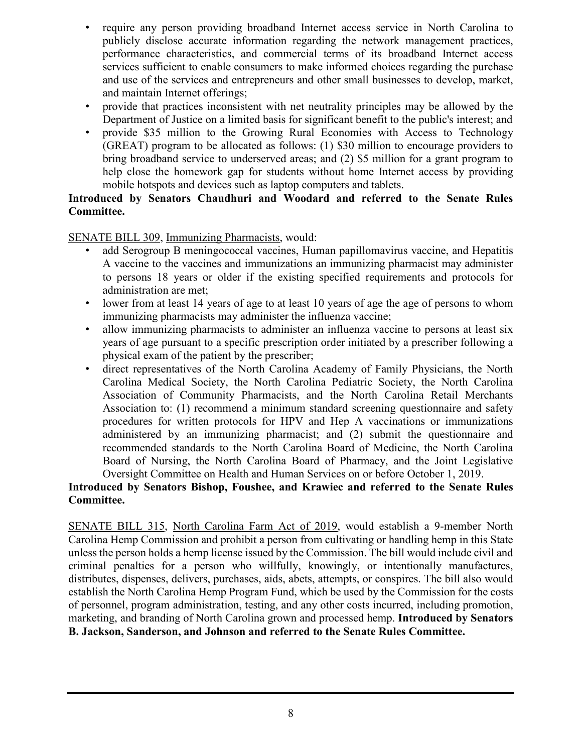- require any person providing broadband Internet access service in North Carolina to publicly disclose accurate information regarding the network management practices, performance characteristics, and commercial terms of its broadband Internet access services sufficient to enable consumers to make informed choices regarding the purchase and use of the services and entrepreneurs and other small businesses to develop, market, and maintain Internet offerings;
- provide that practices inconsistent with net neutrality principles may be allowed by the Department of Justice on a limited basis for significant benefit to the public's interest; and
- provide \$35 million to the Growing Rural Economies with Access to Technology (GREAT) program to be allocated as follows: (1) \$30 million to encourage providers to bring broadband service to underserved areas; and (2) \$5 million for a grant program to help close the homework gap for students without home Internet access by providing mobile hotspots and devices such as laptop computers and tablets.

### **Introduced by Senators Chaudhuri and Woodard and referred to the Senate Rules Committee.**

SENATE BILL 309, Immunizing Pharmacists, would:

- add Serogroup B meningococcal vaccines, Human papillomavirus vaccine, and Hepatitis A vaccine to the vaccines and immunizations an immunizing pharmacist may administer to persons 18 years or older if the existing specified requirements and protocols for administration are met;
- lower from at least 14 years of age to at least 10 years of age the age of persons to whom immunizing pharmacists may administer the influenza vaccine;
- allow immunizing pharmacists to administer an influenza vaccine to persons at least six years of age pursuant to a specific prescription order initiated by a prescriber following a physical exam of the patient by the prescriber;
- direct representatives of the North Carolina Academy of Family Physicians, the North Carolina Medical Society, the North Carolina Pediatric Society, the North Carolina Association of Community Pharmacists, and the North Carolina Retail Merchants Association to: (1) recommend a minimum standard screening questionnaire and safety procedures for written protocols for HPV and Hep A vaccinations or immunizations administered by an immunizing pharmacist; and (2) submit the questionnaire and recommended standards to the North Carolina Board of Medicine, the North Carolina Board of Nursing, the North Carolina Board of Pharmacy, and the Joint Legislative Oversight Committee on Health and Human Services on or before October 1, 2019.

## **Introduced by Senators Bishop, Foushee, and Krawiec and referred to the Senate Rules Committee.**

SENATE BILL 315, North Carolina Farm Act of 2019, would establish a 9-member North Carolina Hemp Commission and prohibit a person from cultivating or handling hemp in this State unless the person holds a hemp license issued by the Commission. The bill would include civil and criminal penalties for a person who willfully, knowingly, or intentionally manufactures, distributes, dispenses, delivers, purchases, aids, abets, attempts, or conspires. The bill also would establish the North Carolina Hemp Program Fund, which be used by the Commission for the costs of personnel, program administration, testing, and any other costs incurred, including promotion, marketing, and branding of North Carolina grown and processed hemp. **Introduced by Senators B. Jackson, Sanderson, and Johnson and referred to the Senate Rules Committee.**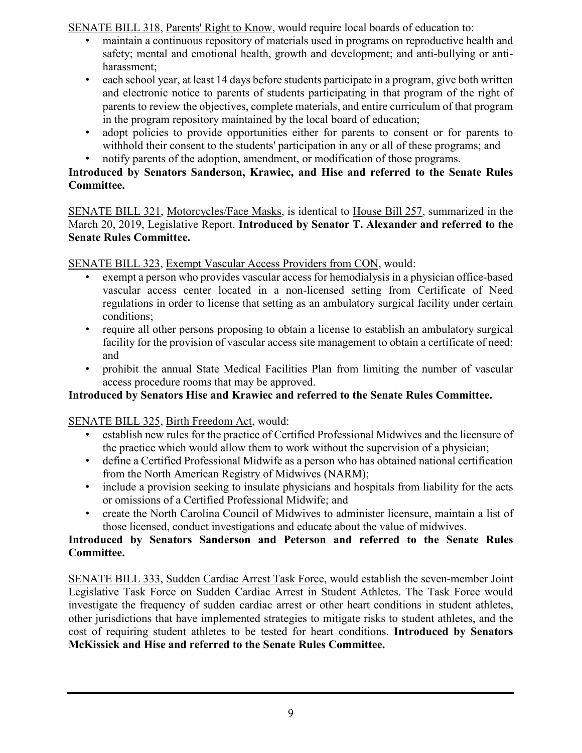SENATE BILL 318, Parents' Right to Know, would require local boards of education to:

- maintain a continuous repository of materials used in programs on reproductive health and safety; mental and emotional health, growth and development; and anti-bullying or antiharassment;
- each school year, at least 14 days before students participate in a program, give both written and electronic notice to parents of students participating in that program of the right of parents to review the objectives, complete materials, and entire curriculum of that program in the program repository maintained by the local board of education;
- adopt policies to provide opportunities either for parents to consent or for parents to withhold their consent to the students' participation in any or all of these programs; and
- notify parents of the adoption, amendment, or modification of those programs.

## **Introduced by Senators Sanderson, Krawiec, and Hise and referred to the Senate Rules Committee.**

SENATE BILL 321, Motorcycles/Face Masks, is identical to House Bill 257, summarized in the March 20, 2019, Legislative Report. **Introduced by Senator T. Alexander and referred to the Senate Rules Committee.**

SENATE BILL 323, Exempt Vascular Access Providers from CON, would:

- exempt a person who provides vascular access for hemodialysis in a physician office-based vascular access center located in a non-licensed setting from Certificate of Need regulations in order to license that setting as an ambulatory surgical facility under certain conditions;
- require all other persons proposing to obtain a license to establish an ambulatory surgical facility for the provision of vascular access site management to obtain a certificate of need; and
- prohibit the annual State Medical Facilities Plan from limiting the number of vascular access procedure rooms that may be approved.

## **Introduced by Senators Hise and Krawiec and referred to the Senate Rules Committee.**

SENATE BILL 325, Birth Freedom Act, would:

- establish new rules for the practice of Certified Professional Midwives and the licensure of the practice which would allow them to work without the supervision of a physician;
- define a Certified Professional Midwife as a person who has obtained national certification from the North American Registry of Midwives (NARM);
- include a provision seeking to insulate physicians and hospitals from liability for the acts or omissions of a Certified Professional Midwife; and
- create the North Carolina Council of Midwives to administer licensure, maintain a list of those licensed, conduct investigations and educate about the value of midwives.

## **Introduced by Senators Sanderson and Peterson and referred to the Senate Rules Committee.**

SENATE BILL 333, Sudden Cardiac Arrest Task Force, would establish the seven-member Joint Legislative Task Force on Sudden Cardiac Arrest in Student Athletes. The Task Force would investigate the frequency of sudden cardiac arrest or other heart conditions in student athletes, other jurisdictions that have implemented strategies to mitigate risks to student athletes, and the cost of requiring student athletes to be tested for heart conditions. **Introduced by Senators McKissick and Hise and referred to the Senate Rules Committee.**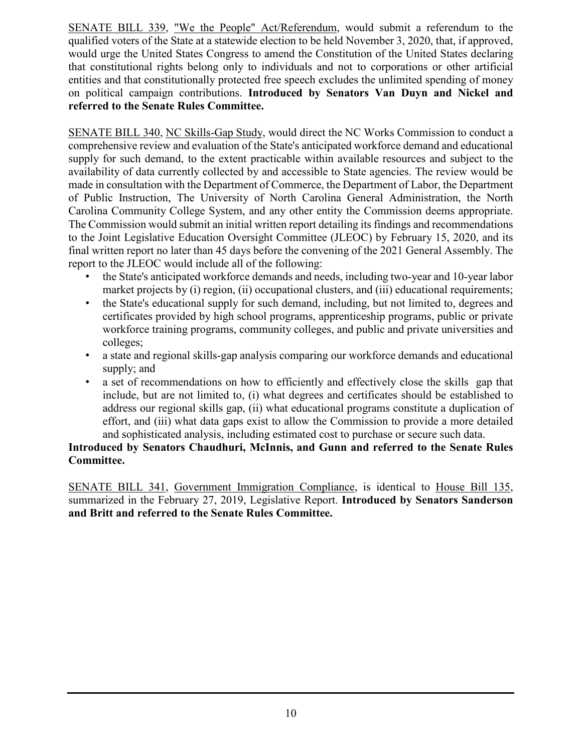SENATE BILL 339, "We the People" Act/Referendum, would submit a referendum to the qualified voters of the State at a statewide election to be held November 3, 2020, that, if approved, would urge the United States Congress to amend the Constitution of the United States declaring that constitutional rights belong only to individuals and not to corporations or other artificial entities and that constitutionally protected free speech excludes the unlimited spending of money on political campaign contributions. **Introduced by Senators Van Duyn and Nickel and referred to the Senate Rules Committee.**

SENATE BILL 340, NC Skills-Gap Study, would direct the NC Works Commission to conduct a comprehensive review and evaluation of the State's anticipated workforce demand and educational supply for such demand, to the extent practicable within available resources and subject to the availability of data currently collected by and accessible to State agencies. The review would be made in consultation with the Department of Commerce, the Department of Labor, the Department of Public Instruction, The University of North Carolina General Administration, the North Carolina Community College System, and any other entity the Commission deems appropriate. The Commission would submit an initial written report detailing its findings and recommendations to the Joint Legislative Education Oversight Committee (JLEOC) by February 15, 2020, and its final written report no later than 45 days before the convening of the 2021 General Assembly. The report to the JLEOC would include all of the following:

- the State's anticipated workforce demands and needs, including two-year and 10-year labor market projects by (i) region, (ii) occupational clusters, and (iii) educational requirements;
- the State's educational supply for such demand, including, but not limited to, degrees and certificates provided by high school programs, apprenticeship programs, public or private workforce training programs, community colleges, and public and private universities and colleges;
- a state and regional skills-gap analysis comparing our workforce demands and educational supply; and
- a set of recommendations on how to efficiently and effectively close the skills gap that include, but are not limited to, (i) what degrees and certificates should be established to address our regional skills gap, (ii) what educational programs constitute a duplication of effort, and (iii) what data gaps exist to allow the Commission to provide a more detailed and sophisticated analysis, including estimated cost to purchase or secure such data.

### **Introduced by Senators Chaudhuri, McInnis, and Gunn and referred to the Senate Rules Committee.**

SENATE BILL 341, Government Immigration Compliance, is identical to House Bill 135, summarized in the February 27, 2019, Legislative Report. **Introduced by Senators Sanderson and Britt and referred to the Senate Rules Committee.**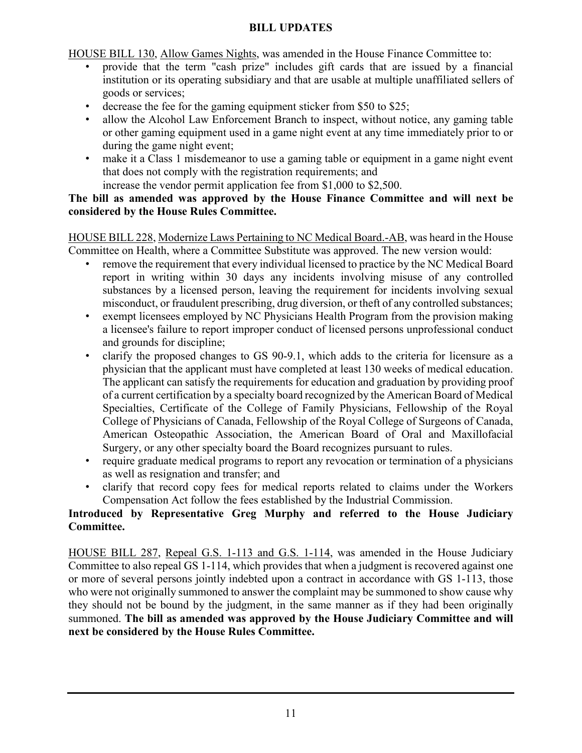#### **BILL UPDATES**

HOUSE BILL 130, Allow Games Nights, was amended in the House Finance Committee to:

- provide that the term "cash prize" includes gift cards that are issued by a financial institution or its operating subsidiary and that are usable at multiple unaffiliated sellers of goods or services;
- decrease the fee for the gaming equipment sticker from \$50 to \$25;
- allow the Alcohol Law Enforcement Branch to inspect, without notice, any gaming table or other gaming equipment used in a game night event at any time immediately prior to or during the game night event;
- make it a Class 1 misdemeanor to use a gaming table or equipment in a game night event that does not comply with the registration requirements; and
- increase the vendor permit application fee from \$1,000 to \$2,500.

### **The bill as amended was approved by the House Finance Committee and will next be considered by the House Rules Committee.**

HOUSE BILL 228, Modernize Laws Pertaining to NC Medical Board.-AB, was heard in the House Committee on Health, where a Committee Substitute was approved. The new version would:

- remove the requirement that every individual licensed to practice by the NC Medical Board report in writing within 30 days any incidents involving misuse of any controlled substances by a licensed person, leaving the requirement for incidents involving sexual misconduct, or fraudulent prescribing, drug diversion, or theft of any controlled substances;
- exempt licensees employed by NC Physicians Health Program from the provision making a licensee's failure to report improper conduct of licensed persons unprofessional conduct and grounds for discipline;
- clarify the proposed changes to GS 90-9.1, which adds to the criteria for licensure as a physician that the applicant must have completed at least 130 weeks of medical education. The applicant can satisfy the requirements for education and graduation by providing proof of a current certification by a specialty board recognized by the American Board of Medical Specialties, Certificate of the College of Family Physicians, Fellowship of the Royal College of Physicians of Canada, Fellowship of the Royal College of Surgeons of Canada, American Osteopathic Association, the American Board of Oral and Maxillofacial Surgery, or any other specialty board the Board recognizes pursuant to rules.
- require graduate medical programs to report any revocation or termination of a physicians as well as resignation and transfer; and
- clarify that record copy fees for medical reports related to claims under the Workers Compensation Act follow the fees established by the Industrial Commission.

## **Introduced by Representative Greg Murphy and referred to the House Judiciary Committee.**

HOUSE BILL 287, Repeal G.S. 1-113 and G.S. 1-114, was amended in the House Judiciary Committee to also repeal GS 1-114, which provides that when a judgment is recovered against one or more of several persons jointly indebted upon a contract in accordance with GS 1-113, those who were not originally summoned to answer the complaint may be summoned to show cause why they should not be bound by the judgment, in the same manner as if they had been originally summoned. **The bill as amended was approved by the House Judiciary Committee and will next be considered by the House Rules Committee.**